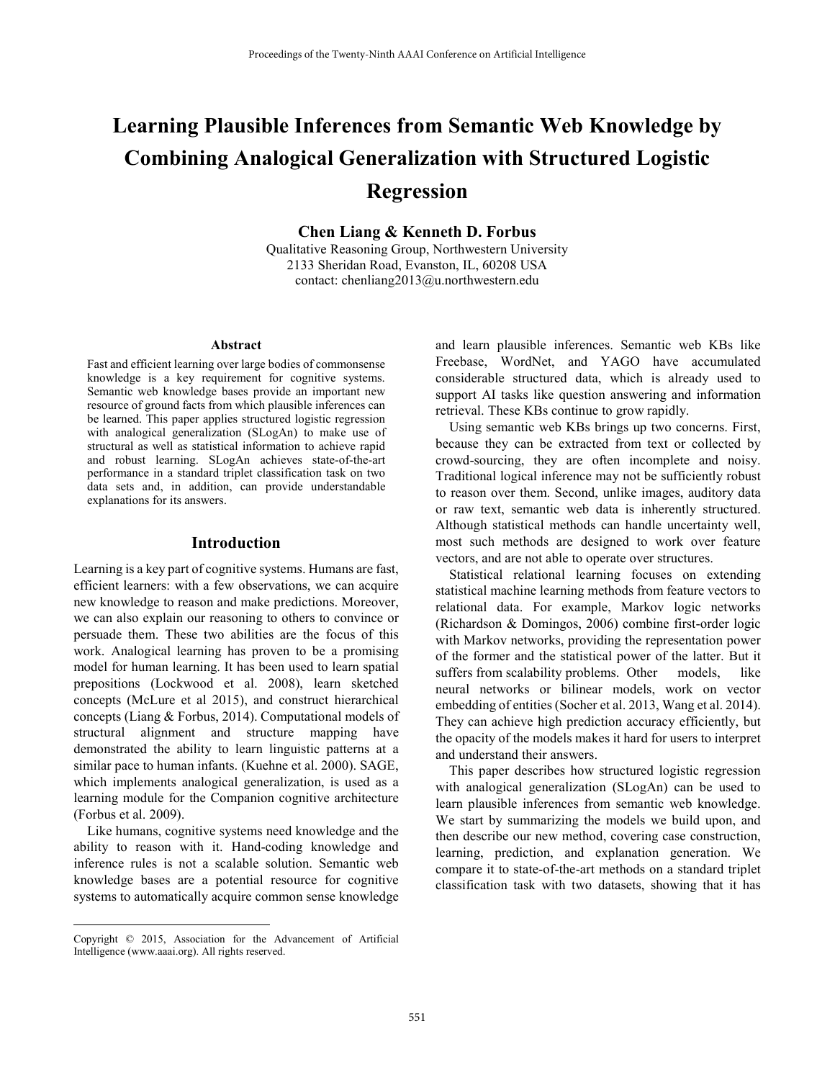# **Learning Plausible Inferences from Semantic Web Knowledge by Combining Analogical Generalization with Structured Logistic Regression**

**Chen Liang & Kenneth D. Forbus** 

Qualitative Reasoning Group, Northwestern University 2133 Sheridan Road, Evanston, IL, 60208 USA contact: chenliang2013@u.northwestern.edu

#### **Abstract**

Fast and efficient learning over large bodies of commonsense knowledge is a key requirement for cognitive systems. Semantic web knowledge bases provide an important new resource of ground facts from which plausible inferences can be learned. This paper applies structured logistic regression with analogical generalization (SLogAn) to make use of structural as well as statistical information to achieve rapid and robust learning. SLogAn achieves state-of-the-art performance in a standard triplet classification task on two data sets and, in addition, can provide understandable explanations for its answers.

#### **Introduction**

Learning is a key part of cognitive systems. Humans are fast, efficient learners: with a few observations, we can acquire new knowledge to reason and make predictions. Moreover, we can also explain our reasoning to others to convince or persuade them. These two abilities are the focus of this work. Analogical learning has proven to be a promising model for human learning. It has been used to learn spatial prepositions (Lockwood et al. 2008), learn sketched concepts (McLure et al 2015), and construct hierarchical concepts (Liang & Forbus, 2014). Computational models of structural alignment and structure mapping have demonstrated the ability to learn linguistic patterns at a similar pace to human infants. (Kuehne et al. 2000). SAGE, which implements analogical generalization, is used as a learning module for the Companion cognitive architecture (Forbus et al. 2009).

 Like humans, cognitive systems need knowledge and the ability to reason with it. Hand-coding knowledge and inference rules is not a scalable solution. Semantic web knowledge bases are a potential resource for cognitive systems to automatically acquire common sense knowledge

 $\overline{a}$ 

and learn plausible inferences. Semantic web KBs like Freebase, WordNet, and YAGO have accumulated considerable structured data, which is already used to support AI tasks like question answering and information retrieval. These KBs continue to grow rapidly.

 Using semantic web KBs brings up two concerns. First, because they can be extracted from text or collected by crowd-sourcing, they are often incomplete and noisy. Traditional logical inference may not be sufficiently robust to reason over them. Second, unlike images, auditory data or raw text, semantic web data is inherently structured. Although statistical methods can handle uncertainty well, most such methods are designed to work over feature vectors, and are not able to operate over structures.

 Statistical relational learning focuses on extending statistical machine learning methods from feature vectors to relational data. For example, Markov logic networks (Richardson & Domingos, 2006) combine first-order logic with Markov networks, providing the representation power of the former and the statistical power of the latter. But it suffers from scalability problems. Other models, like neural networks or bilinear models, work on vector embedding of entities (Socher et al. 2013, Wang et al. 2014). They can achieve high prediction accuracy efficiently, but the opacity of the models makes it hard for users to interpret and understand their answers.

 This paper describes how structured logistic regression with analogical generalization (SLogAn) can be used to learn plausible inferences from semantic web knowledge. We start by summarizing the models we build upon, and then describe our new method, covering case construction, learning, prediction, and explanation generation. We compare it to state-of-the-art methods on a standard triplet classification task with two datasets, showing that it has

Copyright © 2015, Association for the Advancement of Artificial Intelligence (www.aaai.org). All rights reserved.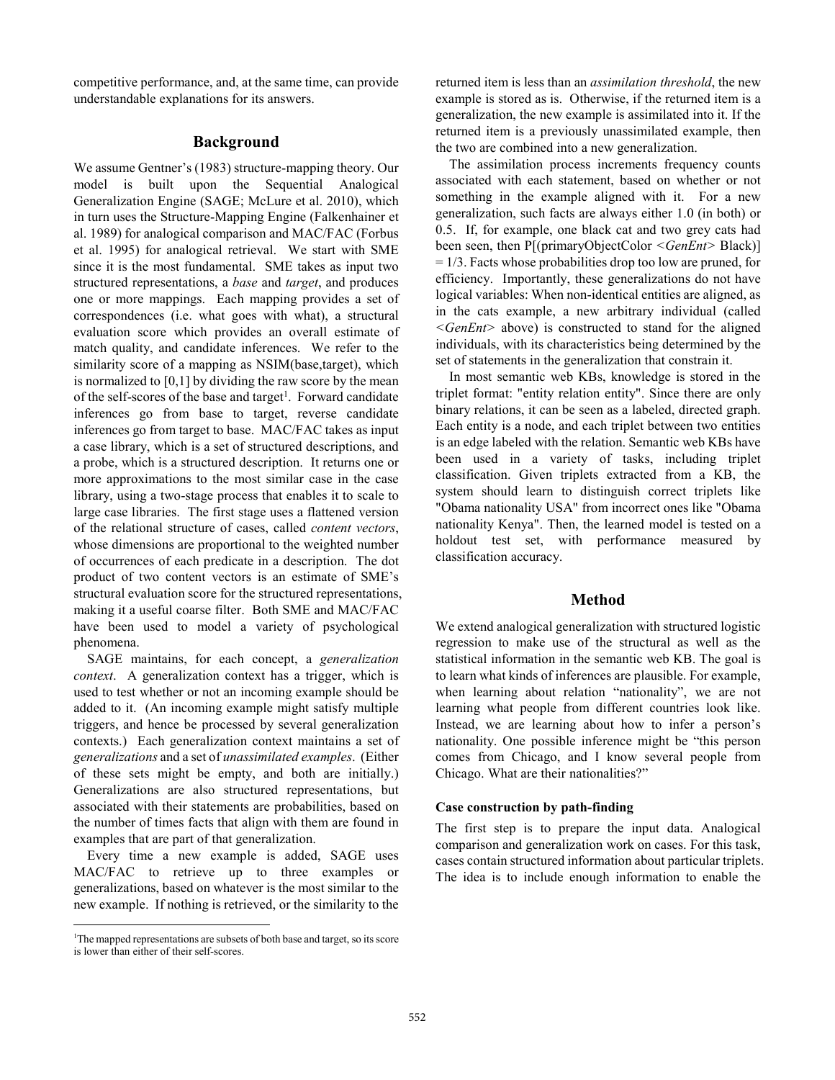competitive performance, and, at the same time, can provide understandable explanations for its answers.

## **Background**

We assume Gentner's (1983) structure-mapping theory. Our model is built upon the Sequential Analogical Generalization Engine (SAGE; McLure et al. 2010), which in turn uses the Structure-Mapping Engine (Falkenhainer et al. 1989) for analogical comparison and MAC/FAC (Forbus et al. 1995) for analogical retrieval. We start with SME since it is the most fundamental. SME takes as input two structured representations, a *base* and *target*, and produces one or more mappings. Each mapping provides a set of correspondences (i.e. what goes with what), a structural evaluation score which provides an overall estimate of match quality, and candidate inferences. We refer to the similarity score of a mapping as NSIM(base,target), which is normalized to [0,1] by dividing the raw score by the mean of the self-scores of the base and target<sup>1</sup>. Forward candidate inferences go from base to target, reverse candidate inferences go from target to base. MAC/FAC takes as input a case library, which is a set of structured descriptions, and a probe, which is a structured description. It returns one or more approximations to the most similar case in the case library, using a two-stage process that enables it to scale to large case libraries. The first stage uses a flattened version of the relational structure of cases, called *content vectors*, whose dimensions are proportional to the weighted number of occurrences of each predicate in a description. The dot product of two content vectors is an estimate of SME's structural evaluation score for the structured representations, making it a useful coarse filter. Both SME and MAC/FAC have been used to model a variety of psychological phenomena.

 SAGE maintains, for each concept, a *generalization context*. A generalization context has a trigger, which is used to test whether or not an incoming example should be added to it. (An incoming example might satisfy multiple triggers, and hence be processed by several generalization contexts.) Each generalization context maintains a set of *generalizations* and a set of *unassimilated examples*. (Either of these sets might be empty, and both are initially.) Generalizations are also structured representations, but associated with their statements are probabilities, based on the number of times facts that align with them are found in examples that are part of that generalization.

 Every time a new example is added, SAGE uses MAC/FAC to retrieve up to three examples or generalizations, based on whatever is the most similar to the new example. If nothing is retrieved, or the similarity to the

 $\overline{a}$ 

returned item is less than an *assimilation threshold*, the new example is stored as is. Otherwise, if the returned item is a generalization, the new example is assimilated into it. If the returned item is a previously unassimilated example, then the two are combined into a new generalization.

 The assimilation process increments frequency counts associated with each statement, based on whether or not something in the example aligned with it. For a new generalization, such facts are always either 1.0 (in both) or 0.5. If, for example, one black cat and two grey cats had been seen, then P[(primaryObjectColor *<GenEnt>* Black)]  $= 1/3$ . Facts whose probabilities drop too low are pruned, for efficiency. Importantly, these generalizations do not have logical variables: When non-identical entities are aligned, as in the cats example, a new arbitrary individual (called *<GenEnt>* above) is constructed to stand for the aligned individuals, with its characteristics being determined by the set of statements in the generalization that constrain it.

 In most semantic web KBs, knowledge is stored in the triplet format: "entity relation entity". Since there are only binary relations, it can be seen as a labeled, directed graph. Each entity is a node, and each triplet between two entities is an edge labeled with the relation. Semantic web KBs have been used in a variety of tasks, including triplet classification. Given triplets extracted from a KB, the system should learn to distinguish correct triplets like "Obama nationality USA" from incorrect ones like "Obama nationality Kenya". Then, the learned model is tested on a holdout test set, with performance measured by classification accuracy.

## **Method**

We extend analogical generalization with structured logistic regression to make use of the structural as well as the statistical information in the semantic web KB. The goal is to learn what kinds of inferences are plausible. For example, when learning about relation "nationality", we are not learning what people from different countries look like. Instead, we are learning about how to infer a person's nationality. One possible inference might be "this person comes from Chicago, and I know several people from Chicago. What are their nationalities?"

#### **Case construction by path-finding**

The first step is to prepare the input data. Analogical comparison and generalization work on cases. For this task, cases contain structured information about particular triplets. The idea is to include enough information to enable the

<sup>&</sup>lt;sup>1</sup>The mapped representations are subsets of both base and target, so its score is lower than either of their self-scores.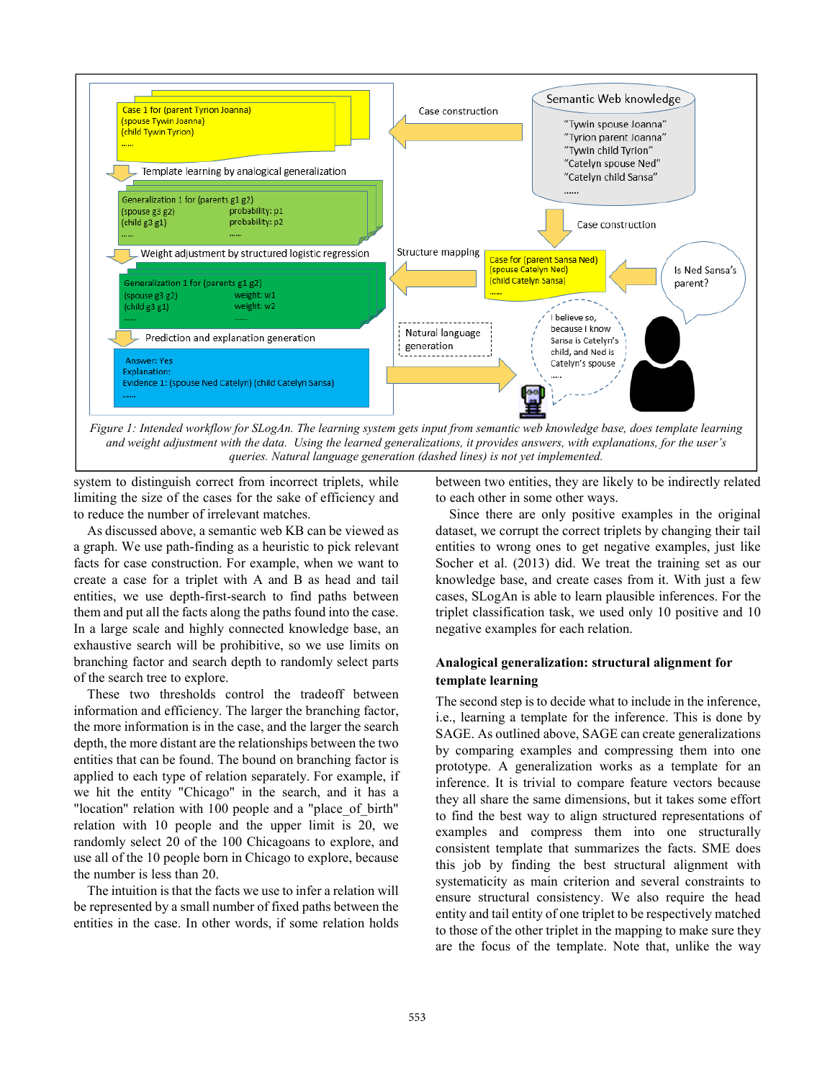

*queries. Natural language generation (dashed lines) is not yet implemented.*

system to distinguish correct from incorrect triplets, while limiting the size of the cases for the sake of efficiency and to reduce the number of irrelevant matches.

 As discussed above, a semantic web KB can be viewed as a graph. We use path-finding as a heuristic to pick relevant facts for case construction. For example, when we want to create a case for a triplet with A and B as head and tail entities, we use depth-first-search to find paths between them and put all the facts along the paths found into the case. In a large scale and highly connected knowledge base, an exhaustive search will be prohibitive, so we use limits on branching factor and search depth to randomly select parts of the search tree to explore.

 These two thresholds control the tradeoff between information and efficiency. The larger the branching factor, the more information is in the case, and the larger the search depth, the more distant are the relationships between the two entities that can be found. The bound on branching factor is applied to each type of relation separately. For example, if we hit the entity "Chicago" in the search, and it has a "location" relation with 100 people and a "place of birth" relation with 10 people and the upper limit is 20, we randomly select 20 of the 100 Chicagoans to explore, and use all of the 10 people born in Chicago to explore, because the number is less than 20.

 The intuition is that the facts we use to infer a relation will be represented by a small number of fixed paths between the entities in the case. In other words, if some relation holds

between two entities, they are likely to be indirectly related to each other in some other ways.

 Since there are only positive examples in the original dataset, we corrupt the correct triplets by changing their tail entities to wrong ones to get negative examples, just like Socher et al. (2013) did. We treat the training set as our knowledge base, and create cases from it. With just a few cases, SLogAn is able to learn plausible inferences. For the triplet classification task, we used only 10 positive and 10 negative examples for each relation.

## **Analogical generalization: structural alignment for template learning**

The second step is to decide what to include in the inference, i.e., learning a template for the inference. This is done by SAGE. As outlined above, SAGE can create generalizations by comparing examples and compressing them into one prototype. A generalization works as a template for an inference. It is trivial to compare feature vectors because they all share the same dimensions, but it takes some effort to find the best way to align structured representations of examples and compress them into one structurally consistent template that summarizes the facts. SME does this job by finding the best structural alignment with systematicity as main criterion and several constraints to ensure structural consistency. We also require the head entity and tail entity of one triplet to be respectively matched to those of the other triplet in the mapping to make sure they are the focus of the template. Note that, unlike the way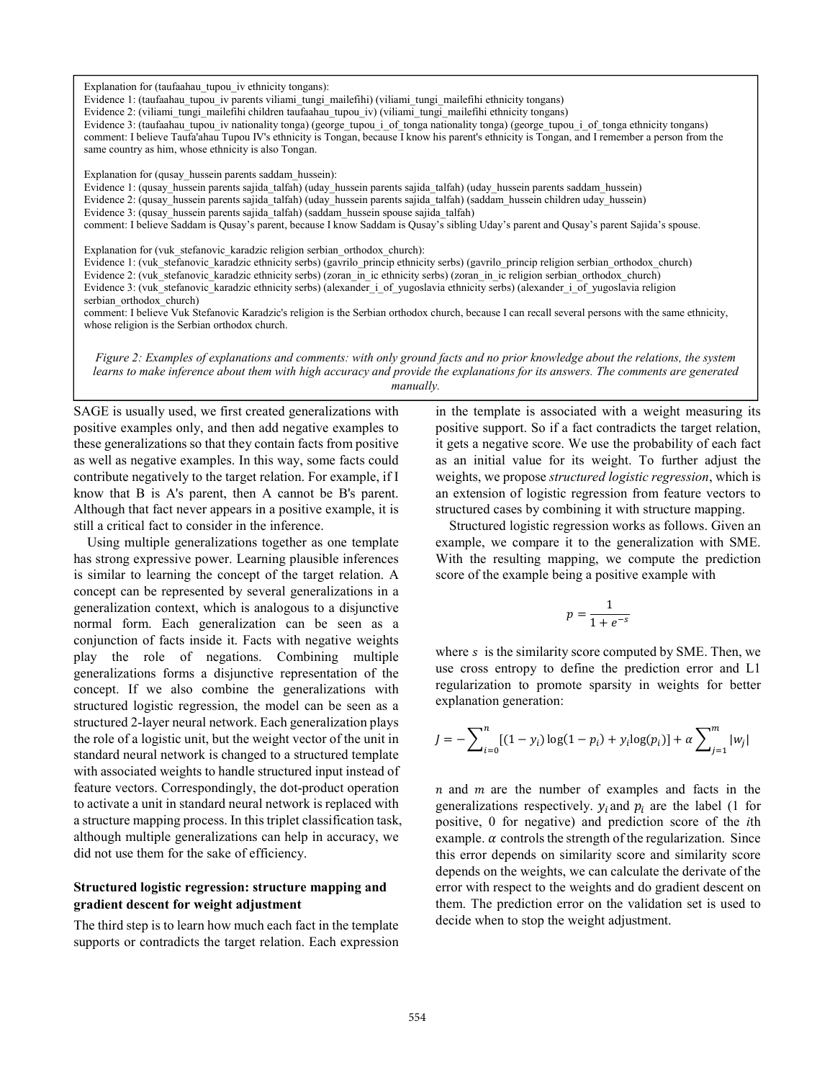Explanation for (taufaahau\_tupou\_iv ethnicity tongans):

Evidence 1: (taufaahau tupou iv parents viliami tungi mailefihi) (viliami tungi mailefihi ethnicity tongans)

Evidence 2: (viliami\_tungi\_mailefihi children taufaahau\_tupou\_iv) (viliami\_tungi\_mailefihi ethnicity tongans)

Evidence 3: (taufaahau tupou iv nationality tonga) (george tupou i of tonga nationality tonga) (george tupou i of tonga ethnicity tongans) comment: I believe Taufa'ahau Tupou IV's ethnicity is Tongan, because I know his parent's ethnicity is Tongan, and I remember a person from the same country as him, whose ethnicity is also Tongan.

Explanation for (qusay hussein parents saddam hussein):

Evidence 1: (qusay\_hussein parents sajida\_talfah) (uday\_hussein parents sajida\_talfah) (uday\_hussein parents saddam\_hussein)

Evidence 2: (qusay\_hussein parents sajida\_talfah) (uday\_hussein parents sajida\_talfah) (saddam\_hussein children uday\_hussein)

Evidence 3: (qusay\_hussein parents sajida\_talfah) (saddam\_hussein spouse sajida\_talfah)

comment: I believe Saddam is Qusay's parent, because I know Saddam is Qusay's sibling Uday's parent and Qusay's parent Sajida's spouse.

Explanation for (vuk\_stefanovic\_karadzic religion serbian\_orthodox\_church):

Evidence 1: (vuk\_stefanovic\_karadzic ethnicity serbs) (gavrilo\_princip ethnicity serbs) (gavrilo\_princip religion serbian\_orthodox\_church)

Evidence 2: (vuk\_stefanovic\_karadzic ethnicity serbs) (zoran\_in\_ic ethnicity serbs) (zoran\_in\_ic religion serbian\_orthodox\_church)

Evidence 3: (vuk stefanovic karadzic ethnicity serbs) (alexander i of yugoslavia ethnicity serbs) (alexander i of yugoslavia religion serbian\_orthodox\_church)

comment: I believe Vuk Stefanovic Karadzic's religion is the Serbian orthodox church, because I can recall several persons with the same ethnicity, whose religion is the Serbian orthodox church.

*Figure 2: Examples of explanations and comments: with only ground facts and no prior knowledge about the relations, the system learns to make inference about them with high accuracy and provide the explanations for its answers. The comments are generated manually.* 

SAGE is usually used, we first created generalizations with positive examples only, and then add negative examples to these generalizations so that they contain facts from positive as well as negative examples. In this way, some facts could contribute negatively to the target relation. For example, if I know that B is A's parent, then A cannot be B's parent. Although that fact never appears in a positive example, it is still a critical fact to consider in the inference.

 Using multiple generalizations together as one template has strong expressive power. Learning plausible inferences is similar to learning the concept of the target relation. A concept can be represented by several generalizations in a generalization context, which is analogous to a disjunctive normal form. Each generalization can be seen as a conjunction of facts inside it. Facts with negative weights play the role of negations. Combining multiple generalizations forms a disjunctive representation of the concept. If we also combine the generalizations with structured logistic regression, the model can be seen as a structured 2-layer neural network. Each generalization plays the role of a logistic unit, but the weight vector of the unit in standard neural network is changed to a structured template with associated weights to handle structured input instead of feature vectors. Correspondingly, the dot-product operation to activate a unit in standard neural network is replaced with a structure mapping process. In this triplet classification task, although multiple generalizations can help in accuracy, we did not use them for the sake of efficiency.

## **Structured logistic regression: structure mapping and gradient descent for weight adjustment**

The third step is to learn how much each fact in the template supports or contradicts the target relation. Each expression

in the template is associated with a weight measuring its positive support. So if a fact contradicts the target relation, it gets a negative score. We use the probability of each fact as an initial value for its weight. To further adjust the weights, we propose *structured logistic regression*, which is an extension of logistic regression from feature vectors to structured cases by combining it with structure mapping.

Structured logistic regression works as follows. Given an example, we compare it to the generalization with SME. With the resulting mapping, we compute the prediction score of the example being a positive example with

$$
p=\frac{1}{1+e^{-s}}
$$

where  $s$  is the similarity score computed by SME. Then, we use cross entropy to define the prediction error and L1 regularization to promote sparsity in weights for better explanation generation:

$$
J = -\sum_{i=0}^{n} [(1 - y_i) \log(1 - p_i) + y_i \log(p_i)] + \alpha \sum_{j=1}^{m} |w_j|
$$

 $n$  and  $m$  are the number of examples and facts in the generalizations respectively.  $y_i$  and  $p_i$  are the label (1 for positive, 0 for negative) and prediction score of the *i*th example.  $\alpha$  controls the strength of the regularization. Since this error depends on similarity score and similarity score depends on the weights, we can calculate the derivate of the error with respect to the weights and do gradient descent on them. The prediction error on the validation set is used to decide when to stop the weight adjustment.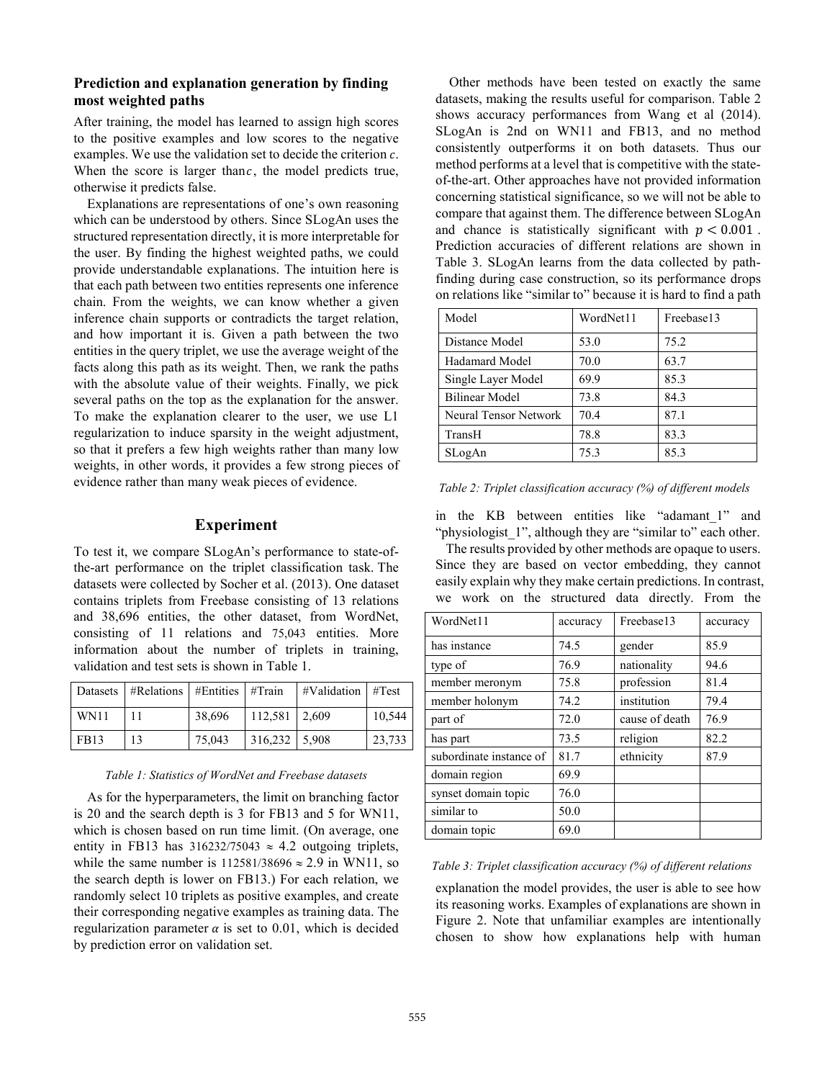# **Prediction and explanation generation by finding most weighted paths**

After training, the model has learned to assign high scores to the positive examples and low scores to the negative examples. We use the validation set to decide the criterion  $c$ . When the score is larger than  $c$ , the model predicts true, otherwise it predicts false.

Explanations are representations of one's own reasoning which can be understood by others. Since SLogAn uses the structured representation directly, it is more interpretable for the user. By finding the highest weighted paths, we could provide understandable explanations. The intuition here is that each path between two entities represents one inference chain. From the weights, we can know whether a given inference chain supports or contradicts the target relation, and how important it is. Given a path between the two entities in the query triplet, we use the average weight of the facts along this path as its weight. Then, we rank the paths with the absolute value of their weights. Finally, we pick several paths on the top as the explanation for the answer. To make the explanation clearer to the user, we use L1 regularization to induce sparsity in the weight adjustment, so that it prefers a few high weights rather than many low weights, in other words, it provides a few strong pieces of evidence rather than many weak pieces of evidence.

# **Experiment**

To test it, we compare SLogAn's performance to state-ofthe-art performance on the triplet classification task. The datasets were collected by Socher et al. (2013). One dataset contains triplets from Freebase consisting of 13 relations and 38,696 entities, the other dataset, from WordNet, consisting of 11 relations and 75,043 entities. More information about the number of triplets in training, validation and test sets is shown in Table 1.

|      | Datasets   #Relations   #Entities   #Train |        |                 | $\#$ Validation   $\#$ Test |        |
|------|--------------------------------------------|--------|-----------------|-----------------------------|--------|
| WN11 |                                            | 38.696 | $112,581$ 2.609 |                             | 10,544 |
| FB13 | 13                                         | 75,043 | $316,232$ 5,908 |                             | 23,733 |

#### *Table 1: Statistics of WordNet and Freebase datasets*

 As for the hyperparameters, the limit on branching factor is 20 and the search depth is 3 for FB13 and 5 for WN11, which is chosen based on run time limit. (On average, one entity in FB13 has  $316232/75043 \approx 4.2$  outgoing triplets, while the same number is  $112581/38696 \approx 2.9$  in WN11, so the search depth is lower on FB13.) For each relation, we randomly select 10 triplets as positive examples, and create their corresponding negative examples as training data. The regularization parameter  $\alpha$  is set to 0.01, which is decided by prediction error on validation set.

 Other methods have been tested on exactly the same datasets, making the results useful for comparison. Table 2 shows accuracy performances from Wang et al (2014). SLogAn is 2nd on WN11 and FB13, and no method consistently outperforms it on both datasets. Thus our method performs at a level that is competitive with the stateof-the-art. Other approaches have not provided information concerning statistical significance, so we will not be able to compare that against them. The difference between SLogAn and chance is statistically significant with  $p < 0.001$ . Prediction accuracies of different relations are shown in Table 3. SLogAn learns from the data collected by pathfinding during case construction, so its performance drops on relations like "similar to" because it is hard to find a path

| Model                 | WordNet11 | Freebase13 |
|-----------------------|-----------|------------|
| Distance Model        | 53.0      | 75.2       |
| Hadamard Model        | 70.0      | 63.7       |
| Single Layer Model    | 69.9      | 85.3       |
| <b>Bilinear Model</b> | 73.8      | 84.3       |
| Neural Tensor Network | 70.4      | 87.1       |
| TransH                | 78.8      | 83.3       |
| SLogAn                | 75.3      | 85.3       |

| Table 2: Triplet classification accuracy (%) of different models |  |  |
|------------------------------------------------------------------|--|--|
|                                                                  |  |  |

in the KB between entities like "adamant 1" and "physiologist 1", although they are "similar to" each other.

 The results provided by other methods are opaque to users. Since they are based on vector embedding, they cannot easily explain why they make certain predictions. In contrast, we work on the structured data directly. From the

| WordNet11               | accuracy | Freebase13     | accuracy |
|-------------------------|----------|----------------|----------|
| has instance            | 74.5     | gender         | 85.9     |
| type of                 | 76.9     | nationality    | 94.6     |
| member meronym          | 75.8     | profession     | 81.4     |
| member holonym          | 74.2     | institution    | 79.4     |
| part of                 | 72.0     | cause of death | 76.9     |
| has part                | 73.5     | religion       | 82.2     |
| subordinate instance of | 81.7     | ethnicity      | 87.9     |
| domain region           | 69.9     |                |          |
| synset domain topic     | 76.0     |                |          |
| similar to              | 50.0     |                |          |
| domain topic            | 69.0     |                |          |

#### *Table 3: Triplet classification accuracy (%) of different relations*

explanation the model provides, the user is able to see how its reasoning works. Examples of explanations are shown in Figure 2. Note that unfamiliar examples are intentionally chosen to show how explanations help with human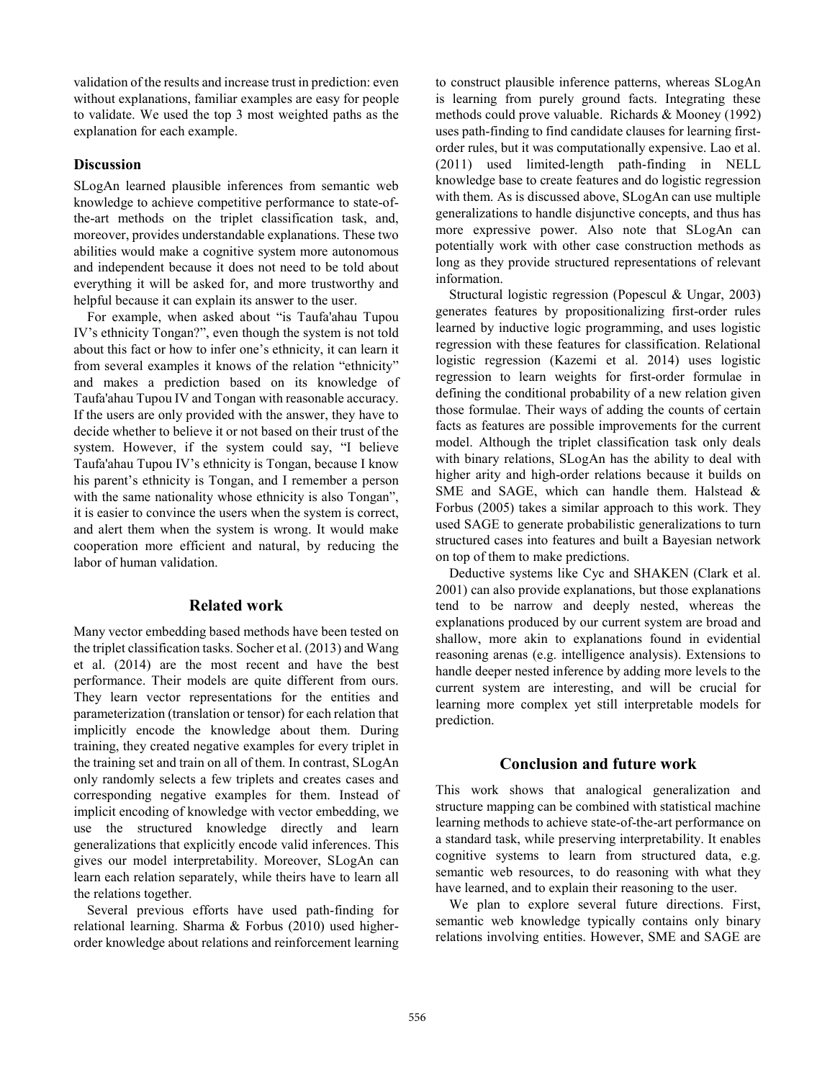validation of the results and increase trust in prediction: even without explanations, familiar examples are easy for people to validate. We used the top 3 most weighted paths as the explanation for each example.

## **Discussion**

SLogAn learned plausible inferences from semantic web knowledge to achieve competitive performance to state-ofthe-art methods on the triplet classification task, and, moreover, provides understandable explanations. These two abilities would make a cognitive system more autonomous and independent because it does not need to be told about everything it will be asked for, and more trustworthy and helpful because it can explain its answer to the user.

 For example, when asked about "is Taufa'ahau Tupou IV's ethnicity Tongan?", even though the system is not told about this fact or how to infer one's ethnicity, it can learn it from several examples it knows of the relation "ethnicity" and makes a prediction based on its knowledge of Taufa'ahau Tupou IV and Tongan with reasonable accuracy. If the users are only provided with the answer, they have to decide whether to believe it or not based on their trust of the system. However, if the system could say, "I believe Taufa'ahau Tupou IV's ethnicity is Tongan, because I know his parent's ethnicity is Tongan, and I remember a person with the same nationality whose ethnicity is also Tongan", it is easier to convince the users when the system is correct, and alert them when the system is wrong. It would make cooperation more efficient and natural, by reducing the labor of human validation.

## **Related work**

Many vector embedding based methods have been tested on the triplet classification tasks. Socher et al. (2013) and Wang et al. (2014) are the most recent and have the best performance. Their models are quite different from ours. They learn vector representations for the entities and parameterization (translation or tensor) for each relation that implicitly encode the knowledge about them. During training, they created negative examples for every triplet in the training set and train on all of them. In contrast, SLogAn only randomly selects a few triplets and creates cases and corresponding negative examples for them. Instead of implicit encoding of knowledge with vector embedding, we use the structured knowledge directly and learn generalizations that explicitly encode valid inferences. This gives our model interpretability. Moreover, SLogAn can learn each relation separately, while theirs have to learn all the relations together.

 Several previous efforts have used path-finding for relational learning. Sharma & Forbus (2010) used higherorder knowledge about relations and reinforcement learning

to construct plausible inference patterns, whereas SLogAn is learning from purely ground facts. Integrating these methods could prove valuable. Richards & Mooney (1992) uses path-finding to find candidate clauses for learning firstorder rules, but it was computationally expensive. Lao et al. (2011) used limited-length path-finding in NELL knowledge base to create features and do logistic regression with them. As is discussed above, SLogAn can use multiple generalizations to handle disjunctive concepts, and thus has more expressive power. Also note that SLogAn can potentially work with other case construction methods as long as they provide structured representations of relevant information.

 Structural logistic regression (Popescul & Ungar, 2003) generates features by propositionalizing first-order rules learned by inductive logic programming, and uses logistic regression with these features for classification. Relational logistic regression (Kazemi et al. 2014) uses logistic regression to learn weights for first-order formulae in defining the conditional probability of a new relation given those formulae. Their ways of adding the counts of certain facts as features are possible improvements for the current model. Although the triplet classification task only deals with binary relations, SLogAn has the ability to deal with higher arity and high-order relations because it builds on SME and SAGE, which can handle them. Halstead & Forbus (2005) takes a similar approach to this work. They used SAGE to generate probabilistic generalizations to turn structured cases into features and built a Bayesian network on top of them to make predictions.

 Deductive systems like Cyc and SHAKEN (Clark et al. 2001) can also provide explanations, but those explanations tend to be narrow and deeply nested, whereas the explanations produced by our current system are broad and shallow, more akin to explanations found in evidential reasoning arenas (e.g. intelligence analysis). Extensions to handle deeper nested inference by adding more levels to the current system are interesting, and will be crucial for learning more complex yet still interpretable models for prediction.

#### **Conclusion and future work**

This work shows that analogical generalization and structure mapping can be combined with statistical machine learning methods to achieve state-of-the-art performance on a standard task, while preserving interpretability. It enables cognitive systems to learn from structured data, e.g. semantic web resources, to do reasoning with what they have learned, and to explain their reasoning to the user.

 We plan to explore several future directions. First, semantic web knowledge typically contains only binary relations involving entities. However, SME and SAGE are